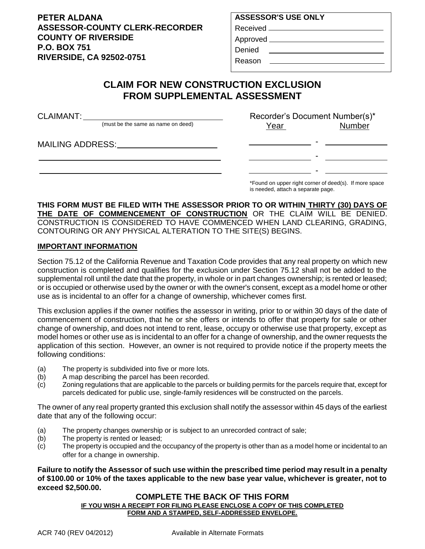**PETER ALDANA ASSESSOR-COUNTY CLERK-RECORDER COUNTY OF RIVERSIDE P.O. BOX 751 RIVERSIDE, CA 92502-0751**

## **ASSESSOR'S USE ONLY** Received Approved

Denied

Reason

# **CLAIM FOR NEW CONSTRUCTION EXCLUSION FROM SUPPLEMENTAL ASSESSMENT**

| <b>CLAIMANT:</b> |                                    | Recorder's Document Number(s)* |               |
|------------------|------------------------------------|--------------------------------|---------------|
|                  | (must be the same as name on deed) | Year                           | <b>Number</b> |
|                  |                                    |                                |               |
|                  |                                    |                                |               |
|                  |                                    |                                |               |

\*Found on upper right corner of deed(s). If more space is needed, attach a separate page.

### **THIS FORM MUST BE FILED WITH THE ASSESSOR PRIOR TO OR WITHIN THIRTY (30) DAYS OF THE DATE OF COMMENCEMENT OF CONSTRUCTION** OR THE CLAIM WILL BE DENIED. CONSTRUCTION IS CONSIDERED TO HAVE COMMENCED WHEN LAND CLEARING, GRADING, CONTOURING OR ANY PHYSICAL ALTERATION TO THE SITE(S) BEGINS.

### **IMPORTANT INFORMATION**

Section 75.12 of the California Revenue and Taxation Code provides that any real property on which new construction is completed and qualifies for the exclusion under Section 75.12 shall not be added to the supplemental roll until the date that the property, in whole or in part changes ownership; is rented or leased; or is occupied or otherwise used by the owner or with the owner's consent, except as a model home or other use as is incidental to an offer for a change of ownership, whichever comes first.

This exclusion applies if the owner notifies the assessor in writing, prior to or within 30 days of the date of commencement of construction, that he or she offers or intends to offer that property for sale or other change of ownership, and does not intend to rent, lease, occupy or otherwise use that property, except as model homes or other use as is incidental to an offer for a change of ownership, and the owner requests the application of this section. However, an owner is not required to provide notice if the property meets the following conditions:

- (a) The property is subdivided into five or more lots.
- (b) A map describing the parcel has been recorded.
- (c) Zoning regulations that are applicable to the parcels or building permits for the parcels require that, except for parcels dedicated for public use, single-family residences will be constructed on the parcels.

The owner of any real property granted this exclusion shall notify the assessor within 45 days of the earliest date that any of the following occur:

- (a) The property changes ownership or is subject to an unrecorded contract of sale;
- (b) The property is rented or leased;
- (c) The property is occupied and the occupancy of the property is other than as a model home or incidental to an offer for a change in ownership.

**Failure to notify the Assessor of such use within the prescribed time period may result in a penalty of \$100.00 or 10% of the taxes applicable to the new base year value, whichever is greater, not to exceed \$2,500.00.**

#### **COMPLETE THE BACK OF THIS FORM IF YOU WISH A RECEIPT FOR FILING PLEASE ENCLOSE A COPY OF THIS COMPLETED FORM AND A STAMPED, SELF-ADDRESSED ENVELOPE.**